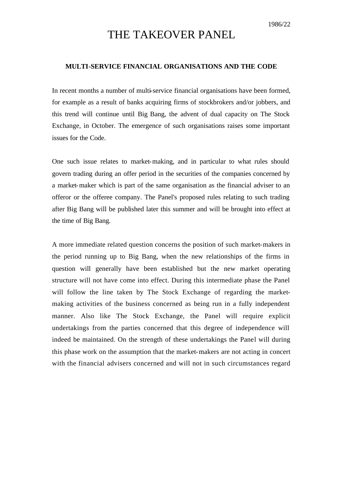## THE TAKEOVER PANEL

## **MULTI-SERVICE FINANCIAL ORGANISATIONS AND THE CODE**

In recent months a number of multi-service financial organisations have been formed, for example as a result of banks acquiring firms of stockbrokers and/or jobbers, and this trend will continue until Big Bang, the advent of dual capacity on The Stock Exchange, in October. The emergence of such organisations raises some important issues for the Code.

One such issue relates to market-making, and in particular to what rules should govern trading during an offer period in the securities of the companies concerned by a market-maker which is part of the same organisation as the financial adviser to an offeror or the offeree company. The Panel's proposed rules relating to such trading after Big Bang will be published later this summer and will be brought into effect at the time of Big Bang.

A more immediate related question concerns the position of such market-makers in the period running up to Big Bang, when the new relationships of the firms in question will generally have been established but the new market operating structure will not have come into effect. During this intermediate phase the Panel will follow the line taken by The Stock Exchange of regarding the marketmaking activities of the business concerned as being run in a fully independent manner. Also like The Stock Exchange, the Panel will require explicit undertakings from the parties concerned that this degree of independence will indeed be maintained. On the strength of these undertakings the Panel will during this phase work on the assumption that the market-makers are not acting in concert with the financial advisers concerned and will not in such circumstances regard